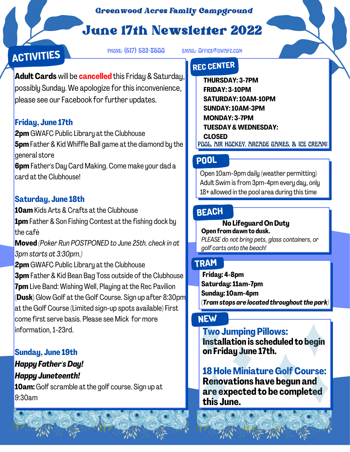#### *Greenwood Acres Family Campground*

# June 17th Newsletter 2022



phone: (517) 522-8600 email: Office@gwafc.com

**Adult Cards** will be **cancelled** this Friday & Saturday, possibly Sunday. We apologize for this inconvenience, please see our Facebook for further updates.

### **Friday, June 17th**

**2pm** GWAFC Public Library at the Clubhouse **5pm**Father & Kid Whiffle Ball game at the diamond by the general store **6pm** Father's Day Card Making. Come make your dad a card at the Clubhouse!

### **Saturday, June 18th**

**10am** Kids Arts & Crafts at the Clubhouse **1pm** Father & Son Fishing Contest at the fishing dock by the café **Moved** *(Poker Run POSTPONED to June 25th. checkin at 3pm starts at 3:30pm.)* **2pm** GWAFC Public Library at the Clubhouse **3pm** Father & Kid Bean Bag Toss outside of the Clubhouse **7pm** Live Band: Wishing Well, Playing at the Rec Pavilion (**Dusk)** Glow Golf at the Golf Course. Sign up after 8:30pm at the Golf Course (Limited sign-up spots available) First come first serve basis. Please see Mick for more information,1-23rd.

### **Sunday, June 19th**

## *Happy Father'sDay! Happy Juneteenth!*

**10am:**Golf scramble at the golf course. Sign up at 9:30am

## **REC CENTER**

**THURSDAY: 3-7PM FRIDAY: 3-10PM SATURDAY: 10AM-10PM SUNDAY: 10AM-3PM MONDAY: 3-7PM TUESDAY&WEDNESDAY: CLOSED** POOL, AIR HOCKEY, ARCADE GAMES, & ICE CREAM!

## **POOL**

Open 10am-9pm daily (weather permitting) Adult Swim is from 3pm-4pm every day, only 18+ allowed in the pool area during this time

## **BEACH**

**No Lifeguard OnDuty Open fromdawn to dusk.** *PLEASE do not bring pets, glass containers, or golf carts onto the beach!*

## **TRAM**

**Friday: 4-8pm Saturday: 11am-7pm Sunday: 10am-4pm (***Tramstops are located throughout the park)*

## **NEW**

**Two Jumping Pillows:**

**Installation is scheduled to begin on Friday June 17th.**

**18Hole Miniature GolfCourse: Renovations have begun and are expected to be completed this June.**